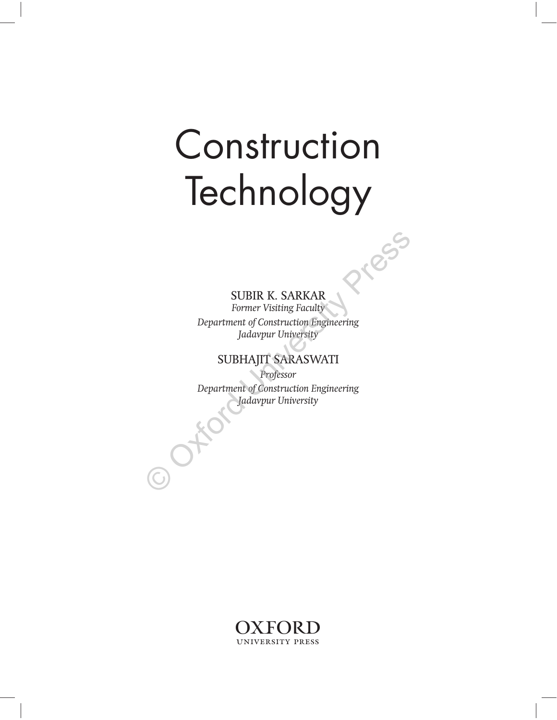# Technology Technology of the same of the same of the same of the same of the same of the same of the same of the same of the same of the same of the same of the same of the same of the same of the same of the same of the same of the

## SUBIR K. SARKAR

*Former Visiting Faculty Department of Construction Engineering Jadavpur University*

## SUBHAJIT SARASWATI

*Professor Department of Construction Engineering Jadavpur University* SUBIR K. SARKAR<br>
Former Visiting Faculty<br>
Department of Construction Engineering<br>
Jadavpur University<br>
SUBHAJIT SARASWATI<br>
Professor<br>
Department of Construction Engineering<br>
Jadavpur University

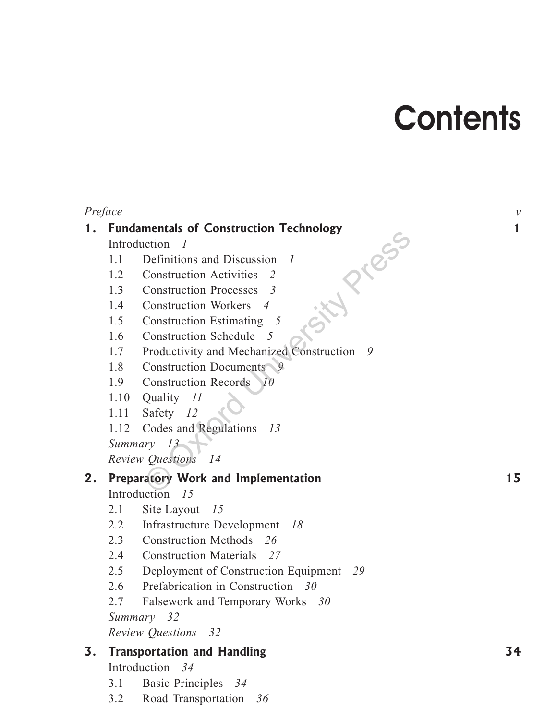## **Contents**

| Preface |                                                   |                                                   | $\mathcal V$ |  |
|---------|---------------------------------------------------|---------------------------------------------------|--------------|--|
| 1.      | <b>Fundamentals of Construction Technology</b>    |                                                   |              |  |
|         | Introduction<br>- 1                               |                                                   |              |  |
|         | 1.1                                               | Definitions and Discussion<br>$\overline{I}$      |              |  |
|         | 1.2                                               | <b>Construction Activities</b><br>2               |              |  |
|         | 1.3                                               | <b>Construction Processes</b><br>-3               |              |  |
|         | 1.4                                               | <b>Construction Workers</b><br>$\overline{4}$     |              |  |
|         | 1.5                                               | <b>Construction Estimating</b><br>$5\overline{)}$ |              |  |
|         | <b>Construction Schedule</b><br>$\sqrt{2}$<br>1.6 |                                                   |              |  |
|         | 1.7<br>Productivity and Mechanized Construction 9 |                                                   |              |  |
|         | Construction Documents 9<br>1.8                   |                                                   |              |  |
|         | 1.9<br><b>Construction Records</b><br>$\neg$ 10   |                                                   |              |  |
|         | 1.10                                              | Quality 11                                        |              |  |
|         | 1.11                                              | Safety 12                                         |              |  |
|         | 1.12                                              | <b>Codes and Regulations</b><br>13                |              |  |
|         | Summary 13                                        |                                                   |              |  |
|         |                                                   | Review Questions 14                               |              |  |
| 2.      | <b>Preparatory Work and Implementation</b>        |                                                   |              |  |
|         | Introduction 15                                   |                                                   |              |  |
|         | 2.1                                               | Site Layout<br>15                                 |              |  |
|         | 2.2                                               | <b>Infrastructure Development</b><br>18           |              |  |
|         | 2.3                                               | Construction Methods 26                           |              |  |
|         | 2.4                                               | Construction Materials 27                         |              |  |
|         | 2.5                                               | Deployment of Construction Equipment 29           |              |  |
|         | 2.6                                               | Prefabrication in Construction 30                 |              |  |
|         | 2.7                                               | Falsework and Temporary Works 30                  |              |  |
|         | Summary 32                                        |                                                   |              |  |
|         | Review Questions 32                               |                                                   |              |  |
| 3.      | <b>Transportation and Handling</b>                |                                                   |              |  |
|         | Introduction 34                                   |                                                   |              |  |

- Basic Principles 34  $3.1$
- Road Transportation 36  $3.2$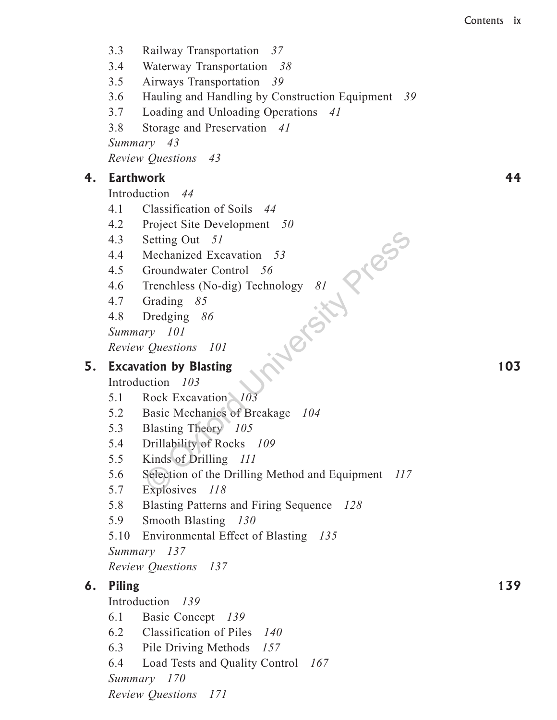- $3.3$ Railway Transportation 37
- $3.4$ Waterway Transportation 38
- $3.5$ Airways Transportation 39
- $3.6$ Hauling and Handling by Construction Equipment 39
- $3.7$ Loading and Unloading Operations 41
- 3.8 Storage and Preservation 41

Summary 43

Review Questions 43

#### $4.$ **Earthwork**

Introduction 44

- $4.1$ Classification of Soils 44
- 4.2 Project Site Development 50
- 4.3 Setting Out 51
- 4.4 Mechanized Excavation 53
- $4.5$ Groundwater Control 56
- inergists eggs Trenchless (No-dig) Technology  $81$ 4.6
- 4.7 Grading  $85$
- 4.8 Dredging  $86$

Summary 101

Review Questions 101

## 5. Excavation by Blasting

Introduction 103

- Rock Excavation 103  $5.1$
- Basic Mechanics of Breakage 104 5.2
- 5.3 Blasting Theory 105
- 5.4 Drillability of Rocks 109
- 5.5 Kinds of Drilling 111
- 5.6 Selection of the Drilling Method and Equipment 117
- 5.7 Explosives 118
- Blasting Patterns and Firing Sequence 128 5.8
- 5.9 Smooth Blasting 130
- 5.10 Environmental Effect of Blasting 135

Summary 137

**Review Questions** 137

## 6. Piling

Introduction 139

- 6.1 Basic Concept 139
- 6.2 Classification of Piles 140
- 6.3 Pile Driving Methods 157
- 6.4 Load Tests and Quality Control 167

Summary 170

Review Questions 171

44

103

139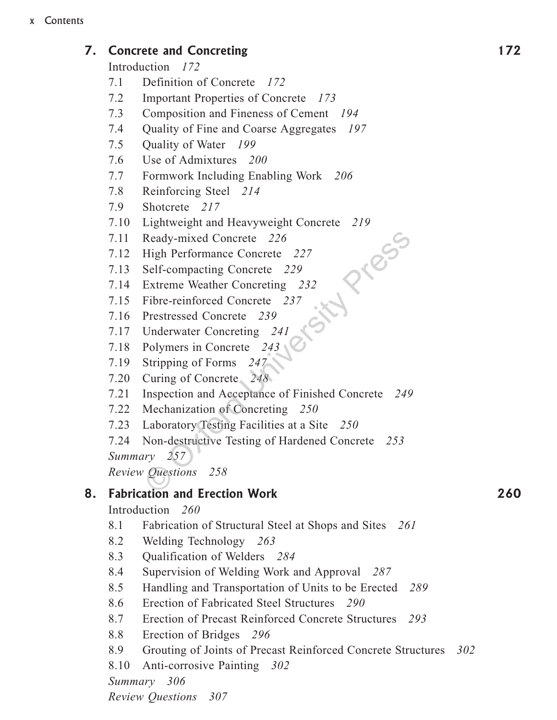## 7. Concrete and Concreting

Introduction 172

- $7.1$ Definition of Concrete 172
- $7.2$ Important Properties of Concrete 173
- $7.3$ Composition and Fineness of Cement 194
- 7.4 Quality of Fine and Coarse Aggregates 197
- $7.5$ Quality of Water 199
- 7.6 Use of Admixtures 200
- $7.7$ Formwork Including Enabling Work 206
- 7.8 Reinforcing Steel 214
- 7.9 Shotcrete 217
- 7.10 Lightweight and Heavyweight Concrete 219 Press
- 7.11 Ready-mixed Concrete 226
- 7.12 High Performance Concrete 227
- 7.13 Self-compacting Concrete 229
- 7.14 Extreme Weather Concreting 232
- 7.15 Fibre-reinforced Concrete 237
- 7.16 Prestressed Concrete 239
- 7.17 Underwater Concreting 241
- 7.18 Polymers in Concrete 243
- 7.19 Stripping of Forms 247
- 7.20 Curing of Concrete 248
- 7.21 Inspection and Acceptance of Finished Concrete 249
- 7.22 Mechanization of Concreting 250
- 7.23 Laboratory Testing Facilities at a Site 250
- 7.24 Non-destructive Testing of Hardened Concrete 253 Summary 257

**Review Questions** 258

#### **Fabrication and Erection Work** 8.

Introduction 260

- 8.1 Fabrication of Structural Steel at Shops and Sites 261
- 8.2 Welding Technology 263
- 8.3 Qualification of Welders 284
- 8.4 Supervision of Welding Work and Approval 287
- 8.5 Handling and Transportation of Units to be Erected 289
- 8.6 Erection of Fabricated Steel Structures 290
- 8.7 Erection of Precast Reinforced Concrete Structures 293
- 8.8 Erection of Bridges 296
- 8.9 Grouting of Joints of Precast Reinforced Concrete Structures 302
- 8.10 Anti-corrosive Painting 302

Summary 306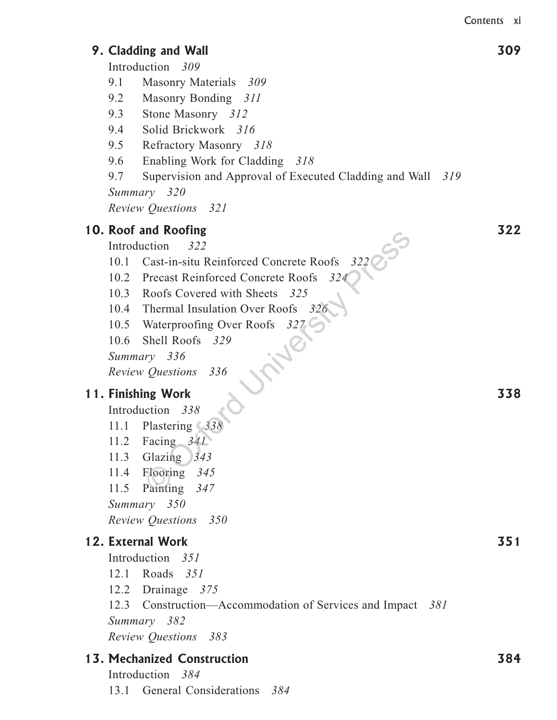309

## 9. Cladding and Wall

Introduction 309

- 9.1 Masonry Materials 309
- 9.2 Masonry Bonding 311
- 9.3 Stone Masonry 312
- 9.4 Solid Brickwork 316
- 9.5 Refractory Masonry 318
- 9.6 Enabling Work for Cladding 318
- 9.7 Supervision and Approval of Executed Cladding and Wall 319

Summary 320

Review Questions 321

## 10. Roof and Roofing

- 10.1 Cast-in-situ Reinforced Concrete Roofs 322
- 
- 10.3 Roofs Covered with Sheets 325
- 10.4 Thermal Insulation Over Roofs 326
- 10.5 Waterproofing Over Roofs 327 **WIND**
- 10.6 Shell Roofs 329

Summary 336

Review Questions 336

## 11. Finishing Work

Introduction 338

- 11.1 Plastering 338
- 11.2 Facing  $341$
- 11.3 Glazing  $343$
- 11.4 Flooring 345
- 11.5 Painting 347
- Summary 350
- Review Questions 350

## 12. External Work

Introduction 351

- 12.1 Roads 351
- 12.2 Drainage  $375$
- 12.3 Construction—Accommodation of Services and Impact 381 Summary 382

Review Ouestions 383

## 13. Mechanized Construction

Introduction 384 13.1 General Considerations 384 322

338

351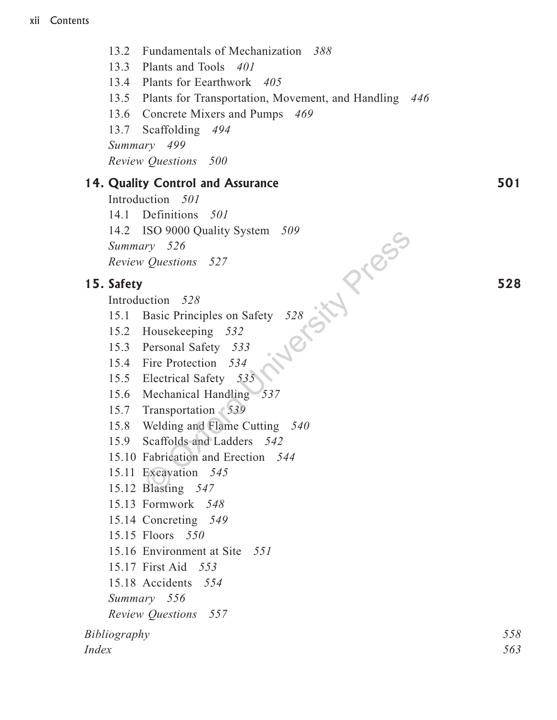13.2 Fundamentals of Mechanization 388

13.3 Plants and Tools 401

13.4 Plants for Eearthwork 405

- 13.5 Plants for Transportation, Movement, and Handling 446
- 13.6 Concrete Mixers and Pumps 469
- 13.7 Scaffolding 494

Summary 499

**Review Questions** 500

## 14. Quality Control and Assurance

Introduction 501 14.1 Definitions 501 Introduction 528<br>
15.1 Basic Principles on Safety 528<br>
15.2 Housekeeping 532<br>
15.3 Personal Safety 533<br>
15.4 Fire Protection 534<br>
5.5 Electrical Safety 528<br>
5.6 Mechanis 14.2 ISO 9000 Quality System 509

## 15. Safety

- 
- 
- 
- 
- 
- 
- 15.7 Transportation 539
- 15.8 Welding and Flame Cutting 540
- 15.9 Scaffolds and Ladders 542
- 15.10 Fabrication and Erection 544
- 15.11 Excavation 545
- 15.12 Blasting 547
- 15.13 Formwork 548
- 15.14 Concreting 549
- 15.15 Floors 550
- 15.16 Environment at Site 551
- 15.17 First Aid 553
- 15.18 Accidents 554
- Summary 556
- **Review Questions** 557

Bibliography *Index*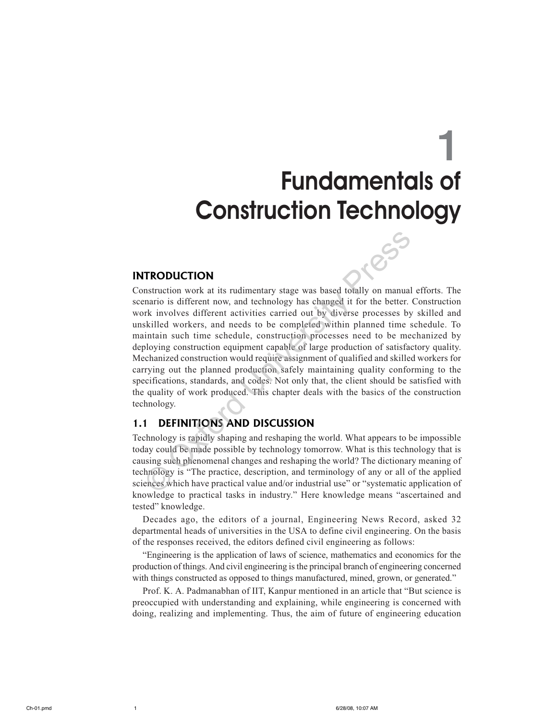## **Fundamentals of Construction Technology**

#### **INTRODUCTION**

Construction work at its rudimentary stage was based totally on manual efforts. The scenario is different now, and technology has changed it for the better. Construction work involves different activities carried out by diverse processes by skilled and unskilled workers, and needs to be completed within planned time schedule. To maintain such time schedule, construction processes need to be mechanized by deploying construction equipment capable of large production of satisfactory quality. Mechanized construction would require assignment of qualified and skilled workers for carrying out the planned production safely maintaining quality conforming to the specifications, standards, and codes. Not only that, the client should be satisfied with the quality of work produced. This chapter deals with the basics of the construction technology.

#### **DEFINITIONS AND DISCUSSION**  $1.1$

Technology is rapidly shaping and reshaping the world. What appears to be impossible today could be made possible by technology tomorrow. What is this technology that is causing such phenomenal changes and reshaping the world? The dictionary meaning of technology is "The practice, description, and terminology of any or all of the applied sciences which have practical value and/or industrial use" or "systematic application of knowledge to practical tasks in industry." Here knowledge means "ascertained and tested" knowledge.

Decades ago, the editors of a journal, Engineering News Record, asked 32 departmental heads of universities in the USA to define civil engineering. On the basis of the responses received, the editors defined civil engineering as follows:

"Engineering is the application of laws of science, mathematics and economics for the production of things. And civil engineering is the principal branch of engineering concerned with things constructed as opposed to things manufactured, mined, grown, or generated."

Prof. K. A. Padmanabhan of IIT, Kanpur mentioned in an article that "But science is preoccupied with understanding and explaining, while engineering is concerned with doing, realizing and implementing. Thus, the aim of future of engineering education

 $\mathbf{1}$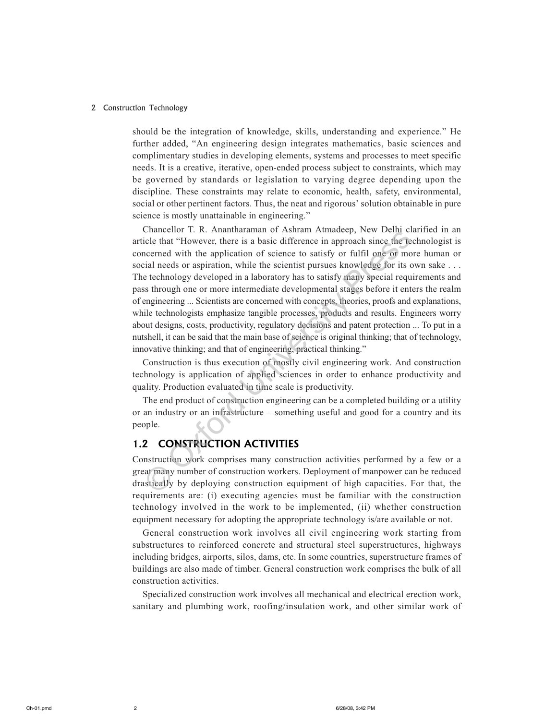should be the integration of knowledge, skills, understanding and experience." He further added, "An engineering design integrates mathematics, basic sciences and complimentary studies in developing elements, systems and processes to meet specific needs. It is a creative, iterative, open-ended process subject to constraints, which may be governed by standards or legislation to varying degree depending upon the discipline. These constraints may relate to economic, health, safety, environmental, social or other pertinent factors. Thus, the neat and rigorous' solution obtainable in pure science is mostly unattainable in engineering."

Chancellor T. R. Anantharaman of Ashram Atmadeep, New Delhi clarified in an article that "However, there is a basic difference in approach since the technologist is concerned with the application of science to satisfy or fulfil one or more human or social needs or aspiration, while the scientist pursues knowledge for its own sake ... The technology developed in a laboratory has to satisfy many special requirements and pass through one or more intermediate developmental stages before it enters the realm of engineering ... Scientists are concerned with concepts, theories, proofs and explanations, while technologists emphasize tangible processes, products and results. Engineers worry about designs, costs, productivity, regulatory decisions and patent protection ... To put in a nutshell, it can be said that the main base of science is original thinking; that of technology, innovative thinking; and that of engineering, practical thinking."

Construction is thus execution of mostly civil engineering work. And construction technology is application of applied sciences in order to enhance productivity and quality. Production evaluated in time scale is productivity.

The end product of construction engineering can be a completed building or a utility or an industry or an infrastructure – something useful and good for a country and its people.

#### **CONSTRUCTION ACTIVITIES**  $1.2$

Construction work comprises many construction activities performed by a few or a great many number of construction workers. Deployment of manpower can be reduced drastically by deploying construction equipment of high capacities. For that, the requirements are: (i) executing agencies must be familiar with the construction technology involved in the work to be implemented, (ii) whether construction equipment necessary for adopting the appropriate technology is/are available or not.

General construction work involves all civil engineering work starting from substructures to reinforced concrete and structural steel superstructures, highways including bridges, airports, silos, dams, etc. In some countries, superstructure frames of buildings are also made of timber. General construction work comprises the bulk of all construction activities.

Specialized construction work involves all mechanical and electrical erection work, sanitary and plumbing work, roofing/insulation work, and other similar work of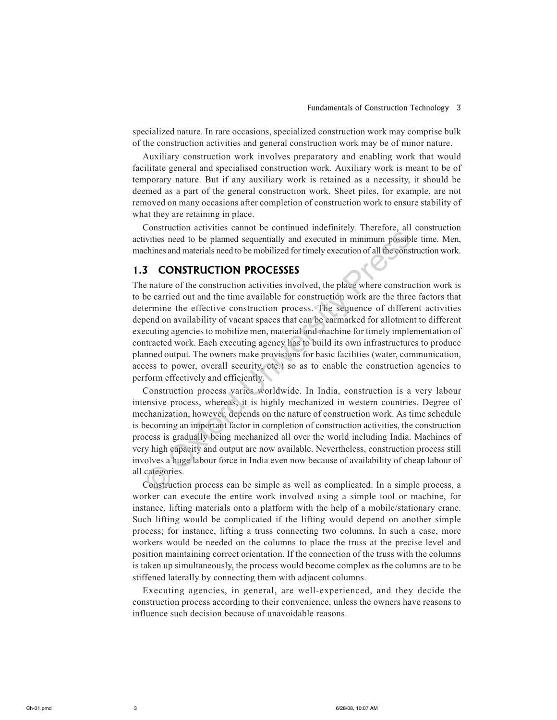specialized nature. In rare occasions, specialized construction work may comprise bulk of the construction activities and general construction work may be of minor nature.

Auxiliary construction work involves preparatory and enabling work that would facilitate general and specialised construction work. Auxiliary work is meant to be of temporary nature. But if any auxiliary work is retained as a necessity, it should be deemed as a part of the general construction work. Sheet piles, for example, are not removed on many occasions after completion of construction work to ensure stability of what they are retaining in place.

Construction activities cannot be continued indefinitely. Therefore, all construction activities need to be planned sequentially and executed in minimum possible time. Men, machines and materials need to be mobilized for timely execution of all the construction work.

## **1.3 CONSTRUCTION PROCESSES**

The nature of the construction activities involved, the place where construction work is to be carried out and the time available for construction work are the three factors that determine the effective construction process. The sequence of different activities depend on availability of vacant spaces that can be earmarked for allotment to different executing agencies to mobilize men, material and machine for timely implementation of contracted work. Each executing agency has to build its own infrastructures to produce planned output. The owners make provisions for basic facilities (water, communication, access to power, overall security, etc.) so as to enable the construction agencies to perform effectively and efficiently.

Construction process varies worldwide. In India, construction is a very labour intensive process, whereas, it is highly mechanized in western countries. Degree of mechanization, however, depends on the nature of construction work. As time schedule is becoming an important factor in completion of construction activities, the construction process is gradually being mechanized all over the world including India. Machines of very high capacity and output are now available. Nevertheless, construction process still involves a huge labour force in India even now because of availability of cheap labour of all categories.

Construction process can be simple as well as complicated. In a simple process, a worker can execute the entire work involved using a simple tool or machine, for instance, lifting materials onto a platform with the help of a mobile/stationary crane. Such lifting would be complicated if the lifting would depend on another simple process; for instance, lifting a truss connecting two columns. In such a case, more workers would be needed on the columns to place the truss at the precise level and position maintaining correct orientation. If the connection of the truss with the columns is taken up simultaneously, the process would become complex as the columns are to be stiffened laterally by connecting them with adjacent columns.

Executing agencies, in general, are well-experienced, and they decide the construction process according to their convenience, unless the owners have reasons to influence such decision because of unavoidable reasons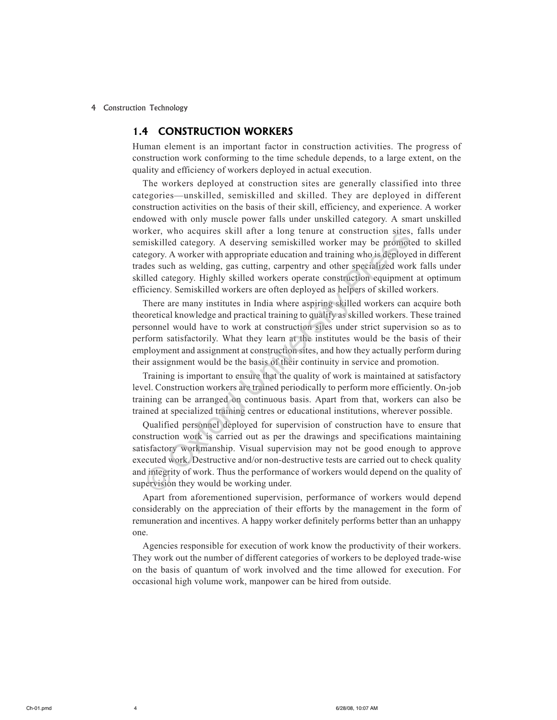### **1.4 CONSTRUCTION WORKERS**

Human element is an important factor in construction activities. The progress of construction work conforming to the time schedule depends, to a large extent, on the quality and efficiency of workers deployed in actual execution.

The workers deployed at construction sites are generally classified into three categories-unskilled, semiskilled and skilled. They are deployed in different construction activities on the basis of their skill, efficiency, and experience. A worker endowed with only muscle power falls under unskilled category. A smart unskilled worker, who acquires skill after a long tenure at construction sites, falls under semiskilled category. A deserving semiskilled worker may be promoted to skilled category. A worker with appropriate education and training who is deployed in different trades such as welding, gas cutting, carpentry and other specialized work falls under skilled category. Highly skilled workers operate construction equipment at optimum efficiency. Semiskilled workers are often deployed as helpers of skilled workers.

There are many institutes in India where aspiring skilled workers can acquire both theoretical knowledge and practical training to qualify as skilled workers. These trained personnel would have to work at construction sites under strict supervision so as to perform satisfactorily. What they learn at the institutes would be the basis of their employment and assignment at construction sites, and how they actually perform during their assignment would be the basis of their continuity in service and promotion.

Training is important to ensure that the quality of work is maintained at satisfactory level. Construction workers are trained periodically to perform more efficiently. On-job training can be arranged on continuous basis. Apart from that, workers can also be trained at specialized training centres or educational institutions, wherever possible.

Qualified personnel deployed for supervision of construction have to ensure that construction work is carried out as per the drawings and specifications maintaining satisfactory workmanship. Visual supervision may not be good enough to approve executed work. Destructive and/or non-destructive tests are carried out to check quality and integrity of work. Thus the performance of workers would depend on the quality of supervision they would be working under.

Apart from aforementioned supervision, performance of workers would depend considerably on the appreciation of their efforts by the management in the form of remuneration and incentives. A happy worker definitely performs better than an unhappy one.

Agencies responsible for execution of work know the productivity of their workers. They work out the number of different categories of workers to be deployed trade-wise on the basis of quantum of work involved and the time allowed for execution. For occasional high volume work, manpower can be hired from outside.

 $\overline{4}$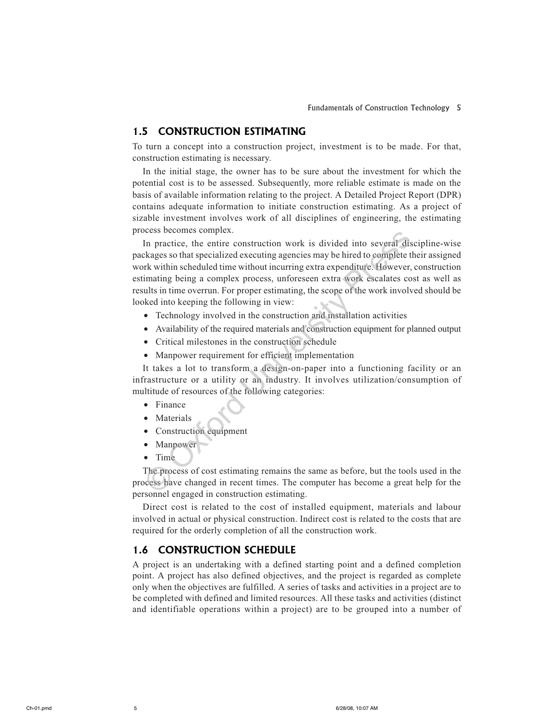#### **CONSTRUCTION ESTIMATING**  $1.5$

To turn a concept into a construction project, investment is to be made. For that, construction estimating is necessary.

In the initial stage, the owner has to be sure about the investment for which the potential cost is to be assessed. Subsequently, more reliable estimate is made on the basis of available information relating to the project. A Detailed Project Report (DPR) contains adequate information to initiate construction estimating. As a project of sizable investment involves work of all disciplines of engineering, the estimating process becomes complex.

In practice, the entire construction work is divided into several discipline-wise packages so that specialized executing agencies may be hired to complete their assigned work within scheduled time without incurring extra expenditure. However, construction estimating being a complex process, unforeseen extra work escalates cost as well as results in time overrun. For proper estimating, the scope of the work involved should be looked into keeping the following in view:

- Technology involved in the construction and installation activities
- Availability of the required materials and construction equipment for planned output
- Critical milestones in the construction schedule
- Manpower requirement for efficient implementation

It takes a lot to transform a design-on-paper into a functioning facility or an infrastructure or a utility or an industry. It involves utilization/consumption of multitude of resources of the following categories:

- Finance
- Materials
- Construction equipment
- Manpower  $\bullet$
- $\bullet$  Time

The process of cost estimating remains the same as before, but the tools used in the process have changed in recent times. The computer has become a great help for the personnel engaged in construction estimating.

Direct cost is related to the cost of installed equipment, materials and labour involved in actual or physical construction. Indirect cost is related to the costs that are required for the orderly completion of all the construction work.

### **1.6 CONSTRUCTION SCHEDULE**

A project is an undertaking with a defined starting point and a defined completion point. A project has also defined objectives, and the project is regarded as complete only when the objectives are fulfilled. A series of tasks and activities in a project are to be completed with defined and limited resources. All these tasks and activities (distinct and identifiable operations within a project) are to be grouped into a number of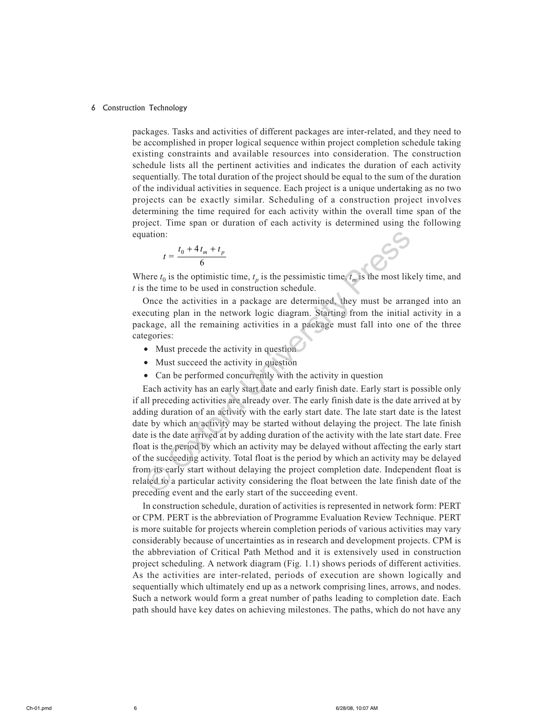packages. Tasks and activities of different packages are inter-related, and they need to be accomplished in proper logical sequence within project completion schedule taking existing constraints and available resources into consideration. The construction schedule lists all the pertinent activities and indicates the duration of each activity sequentially. The total duration of the project should be equal to the sum of the duration of the individual activities in sequence. Each project is a unique undertaking as no two projects can be exactly similar. Scheduling of a construction project involves determining the time required for each activity within the overall time span of the project. Time span or duration of each activity is determined using the following equation:

$$
t = \frac{t_0 + 4t_m + t_p}{6}
$$

Where  $t_0$  is the optimistic time,  $t_n$  is the pessimistic time,  $t_m$  is the most likely time, and  $t$  is the time to be used in construction schedule.

Once the activities in a package are determined, they must be arranged into an executing plan in the network logic diagram. Starting from the initial activity in a package, all the remaining activities in a package must fall into one of the three categories:

- Must precede the activity in question
- Must succeed the activity in question
- Can be performed concurrently with the activity in question

Each activity has an early start date and early finish date. Early start is possible only if all preceding activities are already over. The early finish date is the date arrived at by adding duration of an activity with the early start date. The late start date is the latest date by which an activity may be started without delaying the project. The late finish date is the date arrived at by adding duration of the activity with the late start date. Free float is the period by which an activity may be delayed without affecting the early start of the succeeding activity. Total float is the period by which an activity may be delayed from its early start without delaying the project completion date. Independent float is related to a particular activity considering the float between the late finish date of the preceding event and the early start of the succeeding event.

In construction schedule, duration of activities is represented in network form: PERT or CPM. PERT is the abbreviation of Programme Evaluation Review Technique. PERT is more suitable for projects wherein completion periods of various activities may vary considerably because of uncertainties as in research and development projects. CPM is the abbreviation of Critical Path Method and it is extensively used in construction project scheduling. A network diagram (Fig. 1.1) shows periods of different activities. As the activities are inter-related, periods of execution are shown logically and sequentially which ultimately end up as a network comprising lines, arrows, and nodes. Such a network would form a great number of paths leading to completion date. Each path should have key dates on achieving milestones. The paths, which do not have any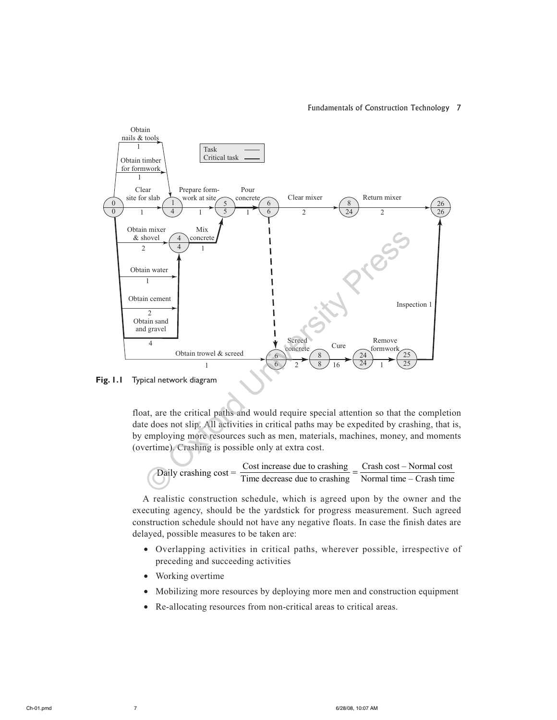#### Fundamentals of Construction Technology 7





float, are the critical paths and would require special attention so that the completion date does not slip. All activities in critical paths may be expedited by crashing, that is, by employing more resources such as men, materials, machines, money, and moments (overtime). Crashing is possible only at extra cost.

Daily erashing cost = 
$$
\frac{\text{Cost increase due to erashing}}{\text{Time decrease due to erashing}} = \frac{\text{Crash cost} - \text{Normal cost}}{\text{Normal time} - \text{Crash time}}
$$

A realistic construction schedule, which is agreed upon by the owner and the executing agency, should be the yardstick for progress measurement. Such agreed construction schedule should not have any negative floats. In case the finish dates are delayed, possible measures to be taken are:

- Overlapping activities in critical paths, wherever possible, irrespective of preceding and succeeding activities
- Working overtime
- Mobilizing more resources by deploying more men and construction equipment
- Re-allocating resources from non-critical areas to critical areas.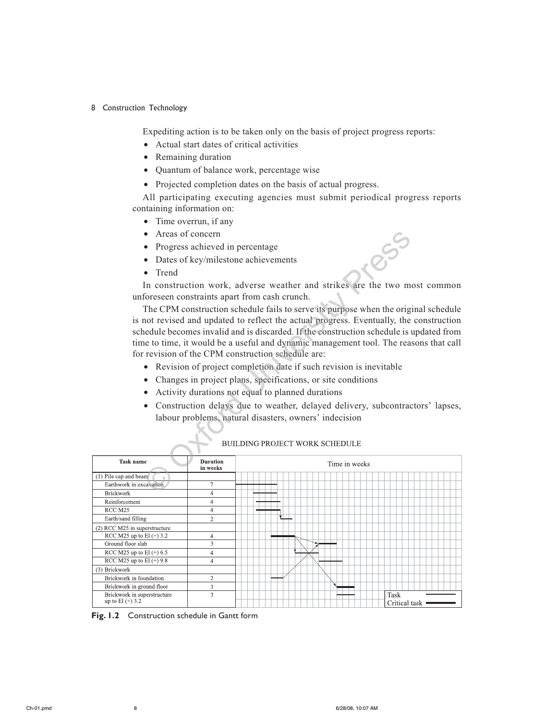Expediting action is to be taken only on the basis of project progress reports:

- Actual start dates of critical activities
- Remaining duration
- Quantum of balance work, percentage wise
- Projected completion dates on the basis of actual progress.

All participating executing agencies must submit periodical progress reports containing information on:

- Time overrun, if any
- Areas of concern
- Progress achieved in percentage
- Dates of key/milestone achievements
- Trend

In construction work, adverse weather and strikes are the two most common unforeseen constraints apart from cash crunch.

The CPM construction schedule fails to serve its purpose when the original schedule is not revised and updated to reflect the actual progress. Eventually, the construction schedule becomes invalid and is discarded. If the construction schedule is updated from time to time, it would be a useful and dynamic management tool. The reasons that call for revision of the CPM construction schedule are: • Areas of concern<br>
• Progress achieved in percentage<br>
• Dates of key/milestone achievements<br>
• Trend<br>
In construction work, adverse weather and strikes are the two m<br>
Information work and the construction schedule fails

- Revision of project completion date if such revision is inevitable
- Changes in project plans, specifications, or site conditions
- Activity durations not equal to planned durations
- Construction delays due to weather, delayed delivery, subcontractors' lapses, labour problems, natural disasters, owners' indecision

| <b>Task name</b>                                  | <b>Duration</b><br>in weeks | Time in weeks         |
|---------------------------------------------------|-----------------------------|-----------------------|
| (1) Pile cap and beam                             |                             |                       |
| Earthwork in excavation                           | $\overline{7}$              |                       |
| <b>Brickwork</b>                                  | 4                           |                       |
| Reinforcement                                     | 4                           |                       |
| RCC M25                                           | 4                           |                       |
| Earth/sand filling                                | $\overline{2}$              | Ϋ́                    |
| (2) RCC M25 in superstructure                     |                             |                       |
| RCC M25 up to El $(+)$ 3.2                        | 4                           |                       |
| Ground floor slab                                 | 3                           | ิ≯                    |
| RCC M25 up to El $(+) 6.5$                        | 4                           |                       |
| RCC M25 up to El (+) 9.8                          | $\overline{4}$              |                       |
| (3) Brickwork                                     |                             |                       |
| Brickwork in foundation                           | $\overline{2}$              |                       |
| Brickwork in ground floor                         | 3                           | ч                     |
| Brickwork in superstructure<br>up to $El (+) 3.2$ | 3                           | Task<br>Critical task |

**Fig. 1.2** Construction schedule in Gantt form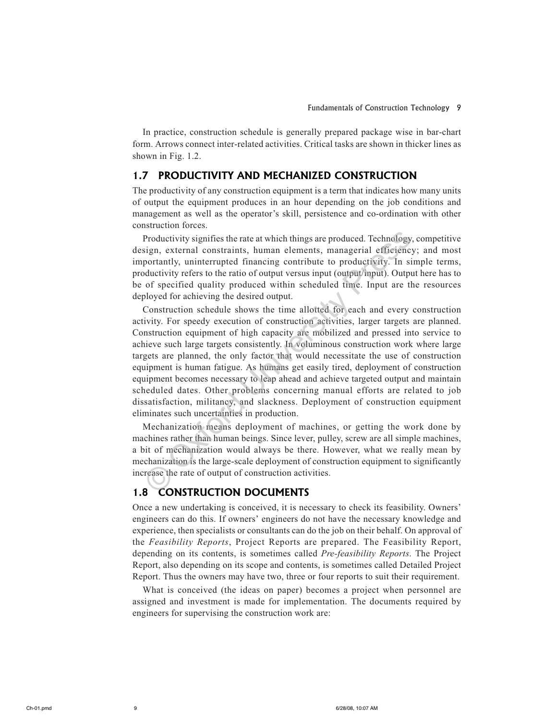In practice, construction schedule is generally prepared package wise in bar-chart form. Arrows connect inter-related activities. Critical tasks are shown in thicker lines as shown in Fig. 1.2.

#### PRODUCTIVITY AND MECHANIZED CONSTRUCTION  $1.7$

The productivity of any construction equipment is a term that indicates how many units of output the equipment produces in an hour depending on the job conditions and management as well as the operator's skill, persistence and co-ordination with other construction forces.

Productivity signifies the rate at which things are produced. Technology, competitive design, external constraints, human elements, managerial efficiency; and most importantly, uninterrupted financing contribute to productivity. In simple terms, productivity refers to the ratio of output versus input (output/input). Output here has to be of specified quality produced within scheduled time. Input are the resources deployed for achieving the desired output.

Construction schedule shows the time allotted for each and every construction activity. For speedy execution of construction activities, larger targets are planned. Construction equipment of high capacity are mobilized and pressed into service to achieve such large targets consistently. In voluminous construction work where large targets are planned, the only factor that would necessitate the use of construction equipment is human fatigue. As humans get easily tired, deployment of construction equipment becomes necessary to leap ahead and achieve targeted output and maintain scheduled dates. Other problems concerning manual efforts are related to job dissatisfaction, militancy, and slackness. Deployment of construction equipment eliminates such uncertainties in production.

Mechanization means deployment of machines, or getting the work done by machines rather than human beings. Since lever, pulley, screw are all simple machines, a bit of mechanization would always be there. However, what we really mean by mechanization is the large-scale deployment of construction equipment to significantly increase the rate of output of construction activities.

#### **CONSTRUCTION DOCUMENTS**  $1.8$

Once a new undertaking is conceived, it is necessary to check its feasibility. Owners' engineers can do this. If owners' engineers do not have the necessary knowledge and experience, then specialists or consultants can do the job on their behalf. On approval of the Feasibility Reports, Project Reports are prepared. The Feasibility Report, depending on its contents, is sometimes called Pre-feasibility Reports. The Project Report, also depending on its scope and contents, is sometimes called Detailed Project Report. Thus the owners may have two, three or four reports to suit their requirement.

What is conceived (the ideas on paper) becomes a project when personnel are assigned and investment is made for implementation. The documents required by engineers for supervising the construction work are: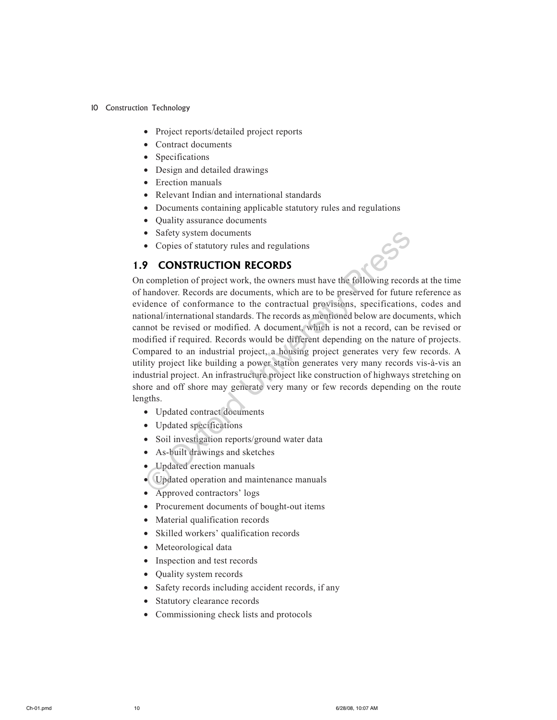- 10 Construction Technology
	- Project reports/detailed project reports
	- Contract documents
	- Specifications
	- Design and detailed drawings
	- Erection manuals
	- Relevant Indian and international standards
	- Documents containing applicable statutory rules and regulations
	- Quality assurance documents
	- Safety system documents
	- Copies of statutory rules and regulations

#### **CONSTRUCTION RECORDS**  $1.9$

On completion of project work, the owners must have the following records at the time of handover. Records are documents, which are to be preserved for future reference as evidence of conformance to the contractual provisions, specifications, codes and national/international standards. The records as mentioned below are documents, which cannot be revised or modified. A document, which is not a record, can be revised or modified if required. Records would be different depending on the nature of projects. Compared to an industrial project, a housing project generates very few records. A utility project like building a power station generates very many records vis-à-vis an industrial project. An infrastructure project like construction of highways stretching on shore and off shore may generate very many or few records depending on the route lengths.

550

- Updated contract documents
- Updated specifications
- Soil investigation reports/ground water data
- As-built drawings and sketches
- Updated erection manuals
- Updated operation and maintenance manuals
- Approved contractors' logs
- Procurement documents of bought-out items
- Material qualification records
- Skilled workers' qualification records
- Meteorological data
- Inspection and test records
- Quality system records
- Safety records including accident records, if any
- Statutory clearance records  $\bullet$
- Commissioning check lists and protocols  $\bullet$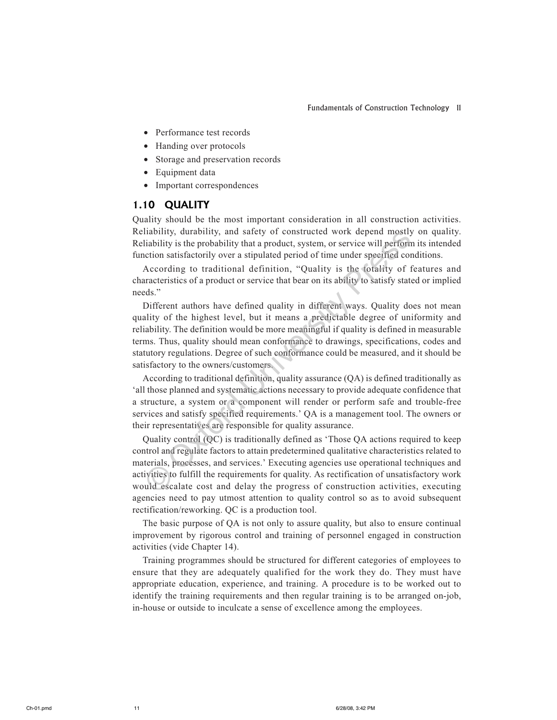- Performance test records
- Handing over protocols
- Storage and preservation records
- Equipment data
- Important correspondences

## 1.10 QUALITY

Quality should be the most important consideration in all construction activities. Reliability, durability, and safety of constructed work depend mostly on quality. Reliability is the probability that a product, system, or service will perform its intended function satisfactorily over a stipulated period of time under specified conditions.

According to traditional definition, "Quality is the totality of features and characteristics of a product or service that bear on its ability to satisfy stated or implied needs."

Different authors have defined quality in different ways. Quality does not mean quality of the highest level, but it means a predictable degree of uniformity and reliability. The definition would be more meaningful if quality is defined in measurable terms. Thus, quality should mean conformance to drawings, specifications, codes and statutory regulations. Degree of such conformance could be measured, and it should be satisfactory to the owners/customers.

According to traditional definition, quality assurance (QA) is defined traditionally as 'all those planned and systematic actions necessary to provide adequate confidence that a structure, a system or a component will render or perform safe and trouble-free services and satisfy specified requirements.' QA is a management tool. The owners or their representatives are responsible for quality assurance.

Quality control (QC) is traditionally defined as 'Those OA actions required to keep control and regulate factors to attain predetermined qualitative characteristics related to materials, processes, and services.' Executing agencies use operational techniques and activities to fulfill the requirements for quality. As rectification of unsatisfactory work would escalate cost and delay the progress of construction activities, executing agencies need to pay utmost attention to quality control so as to avoid subsequent rectification/reworking. QC is a production tool.

The basic purpose of QA is not only to assure quality, but also to ensure continual improvement by rigorous control and training of personnel engaged in construction activities (vide Chapter 14).

Training programmes should be structured for different categories of employees to ensure that they are adequately qualified for the work they do. They must have appropriate education, experience, and training. A procedure is to be worked out to identify the training requirements and then regular training is to be arranged on-job, in-house or outside to inculcate a sense of excellence among the employees.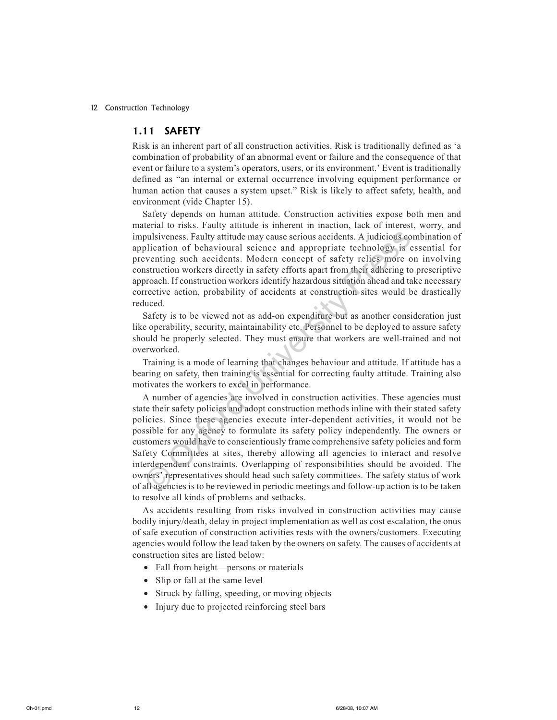#### 1.11 SAFETY

Risk is an inherent part of all construction activities. Risk is traditionally defined as 'a combination of probability of an abnormal event or failure and the consequence of that event or failure to a system's operators, users, or its environment.' Event is traditionally defined as "an internal or external occurrence involving equipment performance or human action that causes a system upset." Risk is likely to affect safety, health, and environment (vide Chapter 15).

Safety depends on human attitude. Construction activities expose both men and material to risks. Faulty attitude is inherent in inaction, lack of interest, worry, and impulsiveness. Faulty attitude may cause serious accidents. A judicious combination of application of behavioural science and appropriate technology is essential for preventing such accidents. Modern concept of safety relies more on involving construction workers directly in safety efforts apart from their adhering to prescriptive approach. If construction workers identify hazardous situation ahead and take necessary corrective action, probability of accidents at construction sites would be drastically reduced.

Safety is to be viewed not as add-on expenditure but as another consideration just like operability, security, maintainability etc. Personnel to be deployed to assure safety should be properly selected. They must ensure that workers are well-trained and not overworked.

Training is a mode of learning that changes behaviour and attitude. If attitude has a bearing on safety, then training is essential for correcting faulty attitude. Training also motivates the workers to excel in performance.

A number of agencies are involved in construction activities. These agencies must state their safety policies and adopt construction methods inline with their stated safety policies. Since these agencies execute inter-dependent activities, it would not be possible for any agency to formulate its safety policy independently. The owners or customers would have to conscientiously frame comprehensive safety policies and form Safety Committees at sites, thereby allowing all agencies to interact and resolve interdependent constraints. Overlapping of responsibilities should be avoided. The owners' representatives should head such safety committees. The safety status of work of all agencies is to be reviewed in periodic meetings and follow-up action is to be taken to resolve all kinds of problems and setbacks.

As accidents resulting from risks involved in construction activities may cause bodily injury/death, delay in project implementation as well as cost escalation, the onus of safe execution of construction activities rests with the owners/customers. Executing agencies would follow the lead taken by the owners on safety. The causes of accidents at construction sites are listed below:

- Fall from height-persons or materials
- Slip or fall at the same level
- Struck by falling, speeding, or moving objects
- Injury due to projected reinforcing steel bars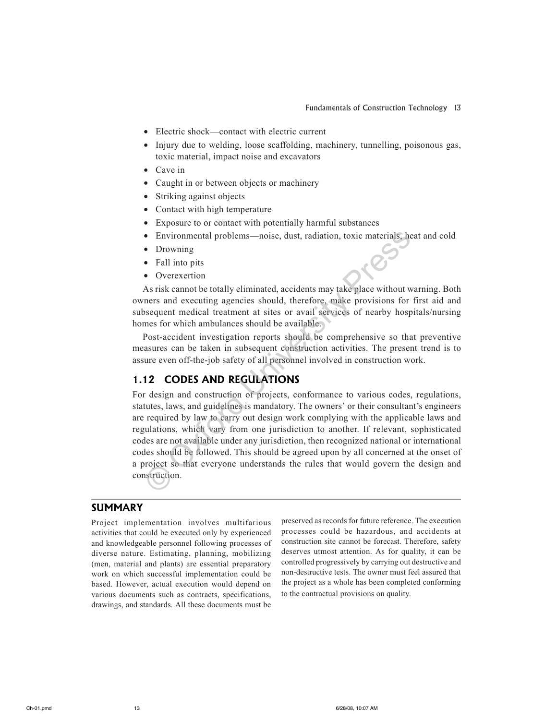- Electric shock—contact with electric current
- Injury due to welding, loose scaffolding, machinery, tunnelling, poisonous gas, toxic material, impact noise and excavators
- Cave in
- Caught in or between objects or machinery
- Striking against objects
- Contact with high temperature
- Exposure to or contact with potentially harmful substances
- Environmental problems—noise, dust, radiation, toxic materials, heat and cold
- Drowning
- Fall into pits
- Overexertion  $\bullet$

As risk cannot be totally eliminated, accidents may take place without warning. Both owners and executing agencies should, therefore, make provisions for first aid and subsequent medical treatment at sites or avail services of nearby hospitals/nursing homes for which ambulances should be available.

Post-accident investigation reports should be comprehensive so that preventive measures can be taken in subsequent construction activities. The present trend is to assure even off-the-job safety of all personnel involved in construction work.

### **1.12 CODES AND REGULATIONS**

For design and construction of projects, conformance to various codes, regulations, statutes, laws, and guidelines is mandatory. The owners' or their consultant's engineers are required by law to carry out design work complying with the applicable laws and regulations, which vary from one jurisdiction to another. If relevant, sophisticated codes are not available under any jurisdiction, then recognized national or international codes should be followed. This should be agreed upon by all concerned at the onset of a project so that everyone understands the rules that would govern the design and construction.

#### **SUMMARY**

Project implementation involves multifarious activities that could be executed only by experienced and knowledgeable personnel following processes of diverse nature. Estimating, planning, mobilizing (men, material and plants) are essential preparatory work on which successful implementation could be based. However, actual execution would depend on various documents such as contracts, specifications, drawings, and standards. All these documents must be

preserved as records for future reference. The execution processes could be hazardous, and accidents at construction site cannot be forecast. Therefore, safety deserves utmost attention. As for quality, it can be controlled progressively by carrying out destructive and non-destructive tests. The owner must feel assured that the project as a whole has been completed conforming to the contractual provisions on quality.